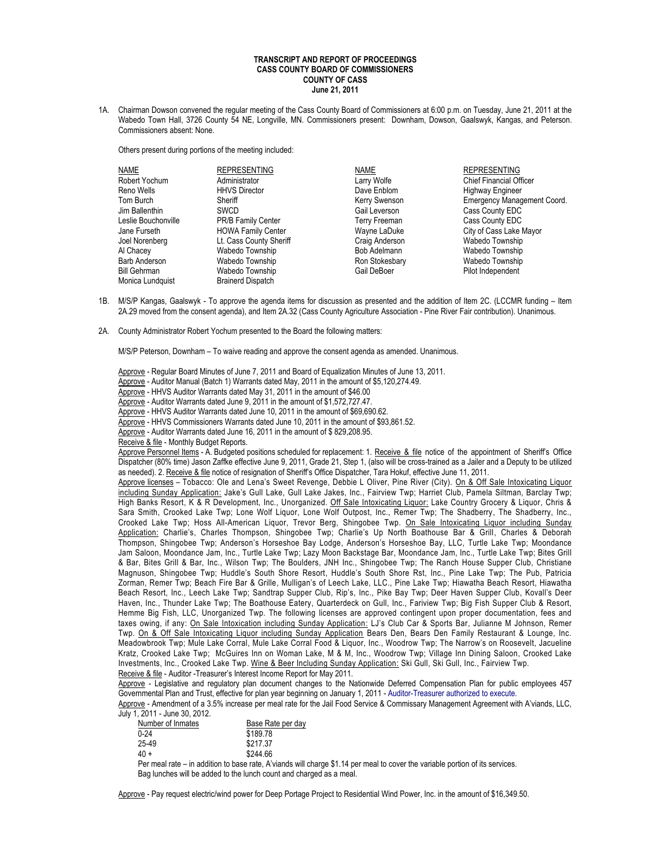## **TRANSCRIPT AND REPORT OF PROCEEDINGS CASS COUNTY BOARD OF COMMISSIONERS COUNTY OF CASS June 21, 2011**

1A. Chairman Dowson convened the regular meeting of the Cass County Board of Commissioners at 6:00 p.m. on Tuesday, June 21, 2011 at the Wabedo Town Hall, 3726 County 54 NE, Longville, MN. Commissioners present: Downham, Dowson, Gaalswyk, Kangas, and Peterson. Commissioners absent: None.

Others present during portions of the meeting included:

| NAME                | <b>REPRESENTING</b>       | <b>NAME</b>    | <b>REPRESENTING</b>                |
|---------------------|---------------------------|----------------|------------------------------------|
| Robert Yochum       | Administrator             | Larry Wolfe    | <b>Chief Financial Officer</b>     |
| Reno Wells          | <b>HHVS Director</b>      | Dave Enblom    | <b>Highway Engineer</b>            |
| Tom Burch           | Sheriff                   | Kerry Swenson  | <b>Emergency Management Coord.</b> |
| Jim Ballenthin      | <b>SWCD</b>               | Gail Leverson  | Cass County EDC                    |
| Leslie Bouchonville | PR/B Family Center        | Terry Freeman  | Cass County EDC                    |
| Jane Furseth        | <b>HOWA Family Center</b> | Wayne LaDuke   | City of Cass Lake Mayor            |
| Joel Norenberg      | Lt. Cass County Sheriff   | Craig Anderson | Wabedo Township                    |
| Al Chacey           | Wabedo Township           | Bob Adelmann   | Wabedo Township                    |
| Barb Anderson       | Wabedo Township           | Ron Stokesbary | Wabedo Township                    |
| <b>Bill Gehrman</b> | Wabedo Township           | Gail DeBoer    | Pilot Independent                  |
| Monica Lundquist    | <b>Brainerd Dispatch</b>  |                |                                    |

- 1B. M/S/P Kangas, Gaalswyk To approve the agenda items for discussion as presented and the addition of Item 2C. (LCCMR funding Item 2A.29 moved from the consent agenda), and Item 2A.32 (Cass County Agriculture Association - Pine River Fair contribution). Unanimous.
- 2A. County Administrator Robert Yochum presented to the Board the following matters:

M/S/P Peterson, Downham – To waive reading and approve the consent agenda as amended. Unanimous.

- Approve Regular Board Minutes of June 7, 2011 and Board of Equalization Minutes of June 13, 2011.
- Approve Auditor Manual (Batch 1) Warrants dated May, 2011 in the amount of \$5,120,274.49.
- Approve HHVS Auditor Warrants dated May 31, 2011 in the amount of \$46.00
- Approve Auditor Warrants dated June 9, 2011 in the amount of \$1,572,727.47.
- Approve HHVS Auditor Warrants dated June 10, 2011 in the amount of \$69,690.62.
- Approve HHVS Commissioners Warrants dated June 10, 2011 in the amount of \$93,861.52.
- Approve Auditor Warrants dated June 16, 2011 in the amount of \$ 829,208.95.
- Receive & file Monthly Budget Reports.

Approve Personnel Items - A. Budgeted positions scheduled for replacement: 1. Receive & file notice of the appointment of Sheriff's Office Dispatcher (80% time) Jason Zaffke effective June 9, 2011, Grade 21, Step 1, (also will be cross-trained as a Jailer and a Deputy to be utilized as needed). 2. Receive & file notice of resignation of Sheriff's Office Dispatcher, Tara Hokuf, effective June 11, 2011.

Approve licenses - Tobacco: Ole and Lena's Sweet Revenge, Debbie L Oliver, Pine River (City). On & Off Sale Intoxicating Liquor including Sunday Application: Jake's Gull Lake, Gull Lake Jakes, Inc., Fairview Twp; Harriet Club, Pamela Siltman, Barclay Twp; High Banks Resort, K & R Development, Inc., Unorganized. Off Sale Intoxicating Liquor: Lake Country Grocery & Liquor, Chris & Sara Smith, Crooked Lake Twp; Lone Wolf Liquor, Lone Wolf Outpost, Inc., Remer Twp; The Shadberry, The Shadberry, Inc., Crooked Lake Twp; Hoss All-American Liquor, Trevor Berg, Shingobee Twp. On Sale Intoxicating Liquor including Sunday Application: Charlie's, Charles Thompson, Shingobee Twp; Charlie's Up North Boathouse Bar & Grill, Charles & Deborah Thompson, Shingobee Twp; Anderson's Horseshoe Bay Lodge, Anderson's Horseshoe Bay, LLC, Turtle Lake Twp; Moondance Jam Saloon, Moondance Jam, Inc., Turtle Lake Twp; Lazy Moon Backstage Bar, Moondance Jam, Inc., Turtle Lake Twp; Bites Grill & Bar, Bites Grill & Bar, Inc., Wilson Twp; The Boulders, JNH Inc., Shingobee Twp; The Ranch House Supper Club, Christiane Magnuson, Shingobee Twp; Huddle's South Shore Resort, Huddle's South Shore Rst, Inc., Pine Lake Twp; The Pub, Patricia Zorman, Remer Twp; Beach Fire Bar & Grille, Mulligan's of Leech Lake, LLC., Pine Lake Twp; Hiawatha Beach Resort, Hiawatha Beach Resort, Inc., Leech Lake Twp; Sandtrap Supper Club, Rip's, Inc., Pike Bay Twp; Deer Haven Supper Club, Kovall's Deer Haven, Inc., Thunder Lake Twp; The Boathouse Eatery, Quarterdeck on Gull, Inc., Fariview Twp; Big Fish Supper Club & Resort, Hemme Big Fish, LLC, Unorganized Twp. The following licenses are approved contingent upon proper documentation, fees and taxes owing, if any: On Sale Intoxication including Sunday Application: LJ's Club Car & Sports Bar, Julianne M Johnson, Remer Twp. On & Off Sale Intoxicating Liquor including Sunday Application Bears Den, Bears Den Family Restaurant & Lounge, Inc. Meadowbrook Twp; Mule Lake Corral, Mule Lake Corral Food & Liquor, Inc., Woodrow Twp; The Narrow's on Roosevelt, Jacueline Kratz, Crooked Lake Twp; McGuires Inn on Woman Lake, M & M, Inc., Woodrow Twp; Village Inn Dining Saloon, Crooked Lake Investments, Inc., Crooked Lake Twp. Wine & Beer Including Sunday Application: Ski Gull, Ski Gull, Inc., Fairview Twp. Receive & file - Auditor -Treasurer's Interest Income Report for May 2011.

Approve - Legislative and regulatory plan document changes to the Nationwide Deferred Compensation Plan for public employees 457 Governmental Plan and Trust, effective for plan year beginning on January 1, 2011 - Auditor-Treasurer authorized to execute.

Approve - Amendment of a 3.5% increase per meal rate for the Jail Food Service & Commissary Management Agreement with A'viands, LLC, July 1, 2011 - June 30, 2012.

| Number of Inmates | Base Rate per day |
|-------------------|-------------------|
| $0 - 24$          | \$189.78          |
| 25-49             | \$217.37          |
| $40 +$            | \$244.66          |
|                   |                   |

Per meal rate – in addition to base rate, A'viands will charge \$1.14 per meal to cover the variable portion of its services. Bag lunches will be added to the lunch count and charged as a meal.

Approve - Pay request electric/wind power for Deep Portage Project to Residential Wind Power, Inc. in the amount of \$16,349.50.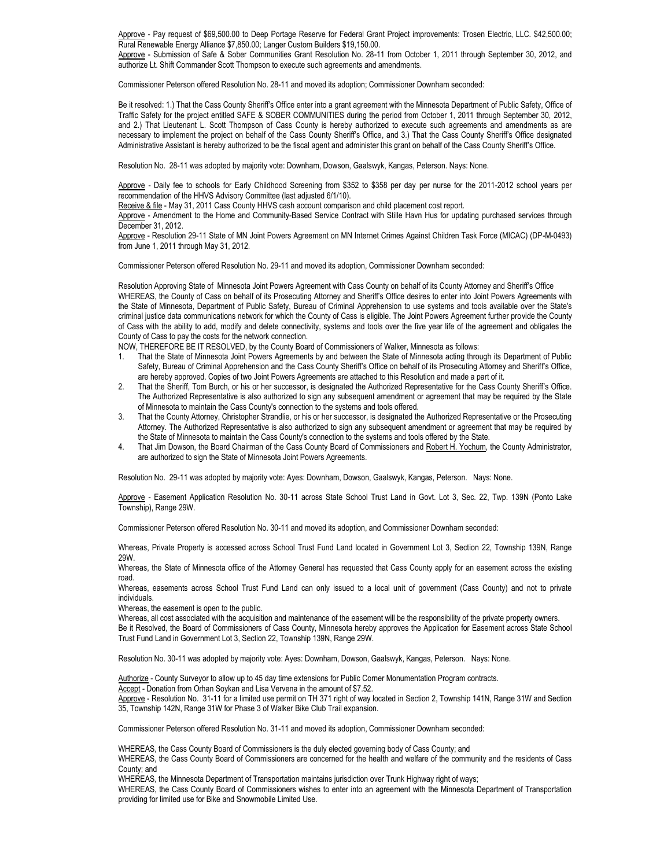Approve - Pay request of \$69,500.00 to Deep Portage Reserve for Federal Grant Project improvements: Trosen Electric, LLC. \$42,500.00; Rural Renewable Energy Alliance \$7,850.00; Langer Custom Builders \$19,150.00.

Approve - Submission of Safe & Sober Communities Grant Resolution No. 28-11 from October 1, 2011 through September 30, 2012, and authorize Lt. Shift Commander Scott Thompson to execute such agreements and amendments.

Commissioner Peterson offered Resolution No. 28-11 and moved its adoption; Commissioner Downham seconded:

Be it resolved: 1.) That the Cass County Sheriff's Office enter into a grant agreement with the Minnesota Department of Public Safety, Office of Traffic Safety for the project entitled SAFE & SOBER COMMUNITIES during the period from October 1, 2011 through September 30, 2012, and 2.) That Lieutenant L. Scott Thompson of Cass County is hereby authorized to execute such agreements and amendments as are necessary to implement the project on behalf of the Cass County Sheriff's Office, and 3.) That the Cass County Sheriff's Office designated Administrative Assistant is hereby authorized to be the fiscal agent and administer this grant on behalf of the Cass County Sheriff's Office.

Resolution No. 28-11 was adopted by majority vote: Downham, Dowson, Gaalswyk, Kangas, Peterson. Nays: None.

Approve - Daily fee to schools for Early Childhood Screening from \$352 to \$358 per day per nurse for the 2011-2012 school years per recommendation of the HHVS Advisory Committee (last adjusted 6/1/10).

Receive & file - May 31, 2011 Cass County HHVS cash account comparison and child placement cost report.

Approve - Amendment to the Home and Community-Based Service Contract with Stille Havn Hus for updating purchased services through December 31, 2012.

Approve - Resolution 29-11 State of MN Joint Powers Agreement on MN Internet Crimes Against Children Task Force (MICAC) (DP-M-0493) from June 1, 2011 through May 31, 2012.

Commissioner Peterson offered Resolution No. 29-11 and moved its adoption, Commissioner Downham seconded:

 Resolution Approving State of Minnesota Joint Powers Agreement with Cass County on behalf of its County Attorney and Sheriff's Office WHEREAS, the County of Cass on behalf of its Prosecuting Attorney and Sheriff's Office desires to enter into Joint Powers Agreements with the State of Minnesota, Department of Public Safety, Bureau of Criminal Apprehension to use systems and tools available over the State's criminal justice data communications network for which the County of Cass is eligible. The Joint Powers Agreement further provide the County of Cass with the ability to add, modify and delete connectivity, systems and tools over the five year life of the agreement and obligates the County of Cass to pay the costs for the network connection.

NOW, THEREFORE BE IT RESOLVED, by the County Board of Commissioners of Walker, Minnesota as follows:

- 1. That the State of Minnesota Joint Powers Agreements by and between the State of Minnesota acting through its Department of Public Safety, Bureau of Criminal Apprehension and the Cass County Sheriff's Office on behalf of its Prosecuting Attorney and Sheriff's Office, are hereby approved. Copies of two Joint Powers Agreements are attached to this Resolution and made a part of it.
- 2. That the Sheriff, Tom Burch, or his or her successor, is designated the Authorized Representative for the Cass County Sheriff's Office. The Authorized Representative is also authorized to sign any subsequent amendment or agreement that may be required by the State of Minnesota to maintain the Cass County's connection to the systems and tools offered.
- 3. That the County Attorney, Christopher Strandlie, or his or her successor, is designated the Authorized Representative or the Prosecuting Attorney. The Authorized Representative is also authorized to sign any subsequent amendment or agreement that may be required by the State of Minnesota to maintain the Cass County's connection to the systems and tools offered by the State.
- 4. That Jim Dowson, the Board Chairman of the Cass County Board of Commissioners and Robert H. Yochum, the County Administrator, are authorized to sign the State of Minnesota Joint Powers Agreements.

Resolution No. 29-11 was adopted by majority vote: Ayes: Downham, Dowson, Gaalswyk, Kangas, Peterson. Nays: None.

Approve - Easement Application Resolution No. 30-11 across State School Trust Land in Govt. Lot 3, Sec. 22, Twp. 139N (Ponto Lake Township), Range 29W.

Commissioner Peterson offered Resolution No. 30-11 and moved its adoption, and Commissioner Downham seconded:

Whereas, Private Property is accessed across School Trust Fund Land located in Government Lot 3, Section 22, Township 139N, Range 29W.

Whereas, the State of Minnesota office of the Attorney General has requested that Cass County apply for an easement across the existing road.

Whereas, easements across School Trust Fund Land can only issued to a local unit of government (Cass County) and not to private individuals.

Whereas, the easement is open to the public.

Whereas, all cost associated with the acquisition and maintenance of the easement will be the responsibility of the private property owners. Be it Resolved, the Board of Commissioners of Cass County, Minnesota hereby approves the Application for Easement across State School Trust Fund Land in Government Lot 3, Section 22, Township 139N, Range 29W.

Resolution No. 30-11 was adopted by majority vote: Ayes: Downham, Dowson, Gaalswyk, Kangas, Peterson. Nays: None.

Authorize - County Surveyor to allow up to 45 day time extensions for Public Corner Monumentation Program contracts.

Accept - Donation from Orhan Soykan and Lisa Vervena in the amount of \$7.52.

Approve - Resolution No. 31-11 for a limited use permit on TH 371 right of way located in Section 2, Township 141N, Range 31W and Section 35, Township 142N, Range 31W for Phase 3 of Walker Bike Club Trail expansion.

Commissioner Peterson offered Resolution No. 31-11 and moved its adoption, Commissioner Downham seconded:

WHEREAS, the Cass County Board of Commissioners is the duly elected governing body of Cass County; and

WHEREAS, the Cass County Board of Commissioners are concerned for the health and welfare of the community and the residents of Cass County; and

WHEREAS, the Minnesota Department of Transportation maintains jurisdiction over Trunk Highway right of ways;

WHEREAS, the Cass County Board of Commissioners wishes to enter into an agreement with the Minnesota Department of Transportation providing for limited use for Bike and Snowmobile Limited Use.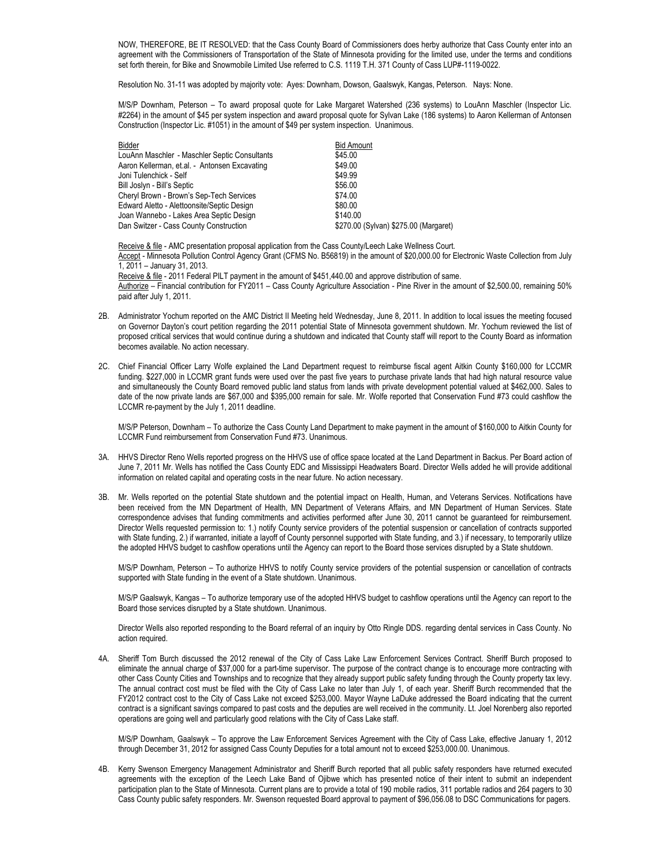NOW, THEREFORE, BE IT RESOLVED: that the Cass County Board of Commissioners does herby authorize that Cass County enter into an agreement with the Commissioners of Transportation of the State of Minnesota providing for the limited use, under the terms and conditions set forth therein, for Bike and Snowmobile Limited Use referred to C.S. 1119 T.H. 371 County of Cass LUP#-1119-0022.

Resolution No. 31-11 was adopted by majority vote: Ayes: Downham, Dowson, Gaalswyk, Kangas, Peterson. Nays: None.

M/S/P Downham, Peterson – To award proposal quote for Lake Margaret Watershed (236 systems) to LouAnn Maschler (Inspector Lic. #2264) in the amount of \$45 per system inspection and award proposal quote for Sylvan Lake (186 systems) to Aaron Kellerman of Antonsen Construction (Inspector Lic. #1051) in the amount of \$49 per system inspection. Unanimous.

| Bidder                                        | <b>Bid Amount</b>                     |
|-----------------------------------------------|---------------------------------------|
| LouAnn Maschler - Maschler Septic Consultants | \$45.00                               |
| Aaron Kellerman, et.al. - Antonsen Excavating | \$49.00                               |
| Joni Tulenchick - Self                        | \$49.99                               |
| Bill Joslyn - Bill's Septic                   | \$56.00                               |
| Cheryl Brown - Brown's Sep-Tech Services      | \$74.00                               |
| Edward Aletto - Alettoonsite/Septic Design    | \$80.00                               |
| Joan Wannebo - Lakes Area Septic Design       | \$140.00                              |
| Dan Switzer - Cass County Construction        | \$270.00 (Sylvan) \$275.00 (Margaret) |

Receive & file - AMC presentation proposal application from the Cass County/Leech Lake Wellness Court. Accept - Minnesota Pollution Control Agency Grant (CFMS No. B56819) in the amount of \$20,000.00 for Electronic Waste Collection from July 1, 2011 – January 31, 2013. Receive & file - 2011 Federal PILT payment in the amount of \$451,440.00 and approve distribution of same.

Authorize – Financial contribution for FY2011 – Cass County Agriculture Association - Pine River in the amount of \$2,500.00, remaining 50% paid after July 1, 2011.

- 2B. Administrator Yochum reported on the AMC District II Meeting held Wednesday, June 8, 2011. In addition to local issues the meeting focused on Governor Dayton's court petition regarding the 2011 potential State of Minnesota government shutdown. Mr. Yochum reviewed the list of proposed critical services that would continue during a shutdown and indicated that County staff will report to the County Board as information becomes available. No action necessary.
- 2C. Chief Financial Officer Larry Wolfe explained the Land Department request to reimburse fiscal agent Aitkin County \$160,000 for LCCMR funding. \$227,000 in LCCMR grant funds were used over the past five years to purchase private lands that had high natural resource value and simultaneously the County Board removed public land status from lands with private development potential valued at \$462,000. Sales to date of the now private lands are \$67,000 and \$395,000 remain for sale. Mr. Wolfe reported that Conservation Fund #73 could cashflow the LCCMR re-payment by the July 1, 2011 deadline.

M/S/P Peterson, Downham – To authorize the Cass County Land Department to make payment in the amount of \$160,000 to Aitkin County for LCCMR Fund reimbursement from Conservation Fund #73. Unanimous.

- 3A. HHVS Director Reno Wells reported progress on the HHVS use of office space located at the Land Department in Backus. Per Board action of June 7, 2011 Mr. Wells has notified the Cass County EDC and Mississippi Headwaters Board. Director Wells added he will provide additional information on related capital and operating costs in the near future. No action necessary.
- 3B. Mr. Wells reported on the potential State shutdown and the potential impact on Health, Human, and Veterans Services. Notifications have been received from the MN Department of Health, MN Department of Veterans Affairs, and MN Department of Human Services. State correspondence advises that funding commitments and activities performed after June 30, 2011 cannot be guaranteed for reimbursement. Director Wells requested permission to: 1.) notify County service providers of the potential suspension or cancellation of contracts supported with State funding, 2.) if warranted, initiate a layoff of County personnel supported with State funding, and 3.) if necessary, to temporarily utilize the adopted HHVS budget to cashflow operations until the Agency can report to the Board those services disrupted by a State shutdown.

M/S/P Downham, Peterson – To authorize HHVS to notify County service providers of the potential suspension or cancellation of contracts supported with State funding in the event of a State shutdown. Unanimous.

M/S/P Gaalswyk, Kangas – To authorize temporary use of the adopted HHVS budget to cashflow operations until the Agency can report to the Board those services disrupted by a State shutdown. Unanimous.

Director Wells also reported responding to the Board referral of an inquiry by Otto Ringle DDS. regarding dental services in Cass County. No action required.

4A. Sheriff Tom Burch discussed the 2012 renewal of the City of Cass Lake Law Enforcement Services Contract. Sheriff Burch proposed to eliminate the annual charge of \$37,000 for a part-time supervisor. The purpose of the contract change is to encourage more contracting with other Cass County Cities and Townships and to recognize that they already support public safety funding through the County property tax levy. The annual contract cost must be filed with the City of Cass Lake no later than July 1, of each year. Sheriff Burch recommended that the FY2012 contract cost to the City of Cass Lake not exceed \$253,000. Mayor Wayne LaDuke addressed the Board indicating that the current contract is a significant savings compared to past costs and the deputies are well received in the community. Lt. Joel Norenberg also reported operations are going well and particularly good relations with the City of Cass Lake staff.

M/S/P Downham, Gaalswyk – To approve the Law Enforcement Services Agreement with the City of Cass Lake, effective January 1, 2012 through December 31, 2012 for assigned Cass County Deputies for a total amount not to exceed \$253,000.00. Unanimous.

4B. Kerry Swenson Emergency Management Administrator and Sheriff Burch reported that all public safety responders have returned executed agreements with the exception of the Leech Lake Band of Ojibwe which has presented notice of their intent to submit an independent participation plan to the State of Minnesota. Current plans are to provide a total of 190 mobile radios, 311 portable radios and 264 pagers to 30 Cass County public safety responders. Mr. Swenson requested Board approval to payment of \$96,056.08 to DSC Communications for pagers.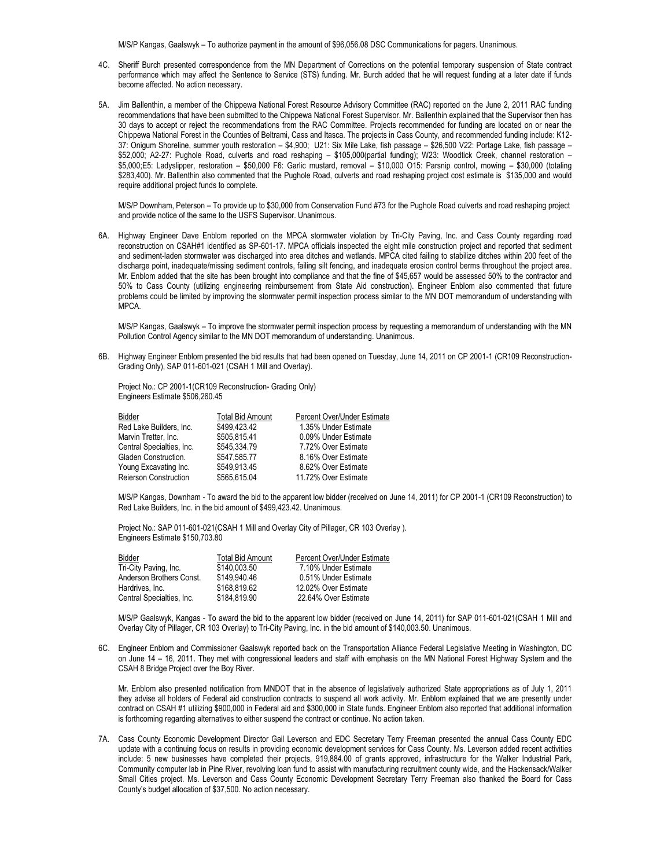M/S/P Kangas, Gaalswyk – To authorize payment in the amount of \$96,056.08 DSC Communications for pagers. Unanimous.

- 4C. Sheriff Burch presented correspondence from the MN Department of Corrections on the potential temporary suspension of State contract performance which may affect the Sentence to Service (STS) funding. Mr. Burch added that he will request funding at a later date if funds become affected. No action necessary.
- 5A. Jim Ballenthin, a member of the Chippewa National Forest Resource Advisory Committee (RAC) reported on the June 2, 2011 RAC funding recommendations that have been submitted to the Chippewa National Forest Supervisor. Mr. Ballenthin explained that the Supervisor then has 30 days to accept or reject the recommendations from the RAC Committee. Projects recommended for funding are located on or near the Chippewa National Forest in the Counties of Beltrami, Cass and Itasca. The projects in Cass County, and recommended funding include: K12- 37: Onigum Shoreline, summer youth restoration – \$4,900; U21: Six Mile Lake, fish passage – \$26,500 V22: Portage Lake, fish passage – \$52,000; A2-27: Pughole Road, culverts and road reshaping – \$105,000(partial funding); W23: Woodtick Creek, channel restoration – \$5,000;E5: Ladyslipper, restoration – \$50,000 F6: Garlic mustard, removal – \$10,000 O15: Parsnip control, mowing – \$30,000 (totaling \$283,400). Mr. Ballenthin also commented that the Pughole Road, culverts and road reshaping project cost estimate is \$135,000 and would require additional project funds to complete.

M/S/P Downham, Peterson – To provide up to \$30,000 from Conservation Fund #73 for the Pughole Road culverts and road reshaping project and provide notice of the same to the USFS Supervisor. Unanimous.

6A. Highway Engineer Dave Enblom reported on the MPCA stormwater violation by Tri-City Paving, Inc. and Cass County regarding road reconstruction on CSAH#1 identified as SP-601-17. MPCA officials inspected the eight mile construction project and reported that sediment and sediment-laden stormwater was discharged into area ditches and wetlands. MPCA cited failing to stabilize ditches within 200 feet of the discharge point, inadequate/missing sediment controls, failing silt fencing, and inadequate erosion control berms throughout the project area. Mr. Enblom added that the site has been brought into compliance and that the fine of \$45,657 would be assessed 50% to the contractor and 50% to Cass County (utilizing engineering reimbursement from State Aid construction). Engineer Enblom also commented that future problems could be limited by improving the stormwater permit inspection process similar to the MN DOT memorandum of understanding with MPCA.

M/S/P Kangas, Gaalswyk – To improve the stormwater permit inspection process by requesting a memorandum of understanding with the MN Pollution Control Agency similar to the MN DOT memorandum of understanding. Unanimous.

6B. Highway Engineer Enblom presented the bid results that had been opened on Tuesday, June 14, 2011 on CP 2001-1 (CR109 Reconstruction-Grading Only), SAP 011-601-021 (CSAH 1 Mill and Overlay).

Project No.: CP 2001-1(CR109 Reconstruction- Grading Only) Engineers Estimate \$506,260.45

| Total Bid Amount | Percent Over/Under Estimate |
|------------------|-----------------------------|
| \$499.423.42     | 1.35% Under Estimate        |
| \$505.815.41     | 0.09% Under Estimate        |
| \$545.334.79     | 7.72% Over Estimate         |
| \$547.585.77     | 8.16% Over Estimate         |
| \$549.913.45     | 8.62% Over Estimate         |
| \$565.615.04     | 11.72% Over Estimate        |
|                  |                             |

M/S/P Kangas, Downham - To award the bid to the apparent low bidder (received on June 14, 2011) for CP 2001-1 (CR109 Reconstruction) to Red Lake Builders, Inc. in the bid amount of \$499,423.42. Unanimous.

Project No.: SAP 011-601-021(CSAH 1 Mill and Overlay City of Pillager, CR 103 Overlay ). Engineers Estimate \$150,703.80

| Bidder                    | Total Bid Amount | Percent Over/Under Estimate |
|---------------------------|------------------|-----------------------------|
| Tri-City Paving, Inc.     | \$140,003.50     | 7.10% Under Estimate        |
| Anderson Brothers Const.  | \$149,940.46     | 0.51% Under Estimate        |
| Hardrives, Inc.           | \$168,819.62     | 12.02% Over Estimate        |
| Central Specialties, Inc. | \$184,819.90     | 22.64% Over Estimate        |

M/S/P Gaalswyk, Kangas - To award the bid to the apparent low bidder (received on June 14, 2011) for SAP 011-601-021(CSAH 1 Mill and Overlay City of Pillager, CR 103 Overlay) to Tri-City Paving, Inc. in the bid amount of \$140,003.50. Unanimous.

6C. Engineer Enblom and Commissioner Gaalswyk reported back on the Transportation Alliance Federal Legislative Meeting in Washington, DC on June 14 – 16, 2011. They met with congressional leaders and staff with emphasis on the MN National Forest Highway System and the CSAH 8 Bridge Project over the Boy River.

Mr. Enblom also presented notification from MNDOT that in the absence of legislatively authorized State appropriations as of July 1, 2011 they advise all holders of Federal aid construction contracts to suspend all work activity. Mr. Enblom explained that we are presently under contract on CSAH #1 utilizing \$900,000 in Federal aid and \$300,000 in State funds. Engineer Enblom also reported that additional information is forthcoming regarding alternatives to either suspend the contract or continue. No action taken.

7A. Cass County Economic Development Director Gail Leverson and EDC Secretary Terry Freeman presented the annual Cass County EDC update with a continuing focus on results in providing economic development services for Cass County. Ms. Leverson added recent activities include: 5 new businesses have completed their projects, 919,884.00 of grants approved, infrastructure for the Walker Industrial Park, Community computer lab in Pine River, revolving loan fund to assist with manufacturing recruitment county wide, and the Hackensack/Walker Small Cities project. Ms. Leverson and Cass County Economic Development Secretary Terry Freeman also thanked the Board for Cass County's budget allocation of \$37,500. No action necessary.